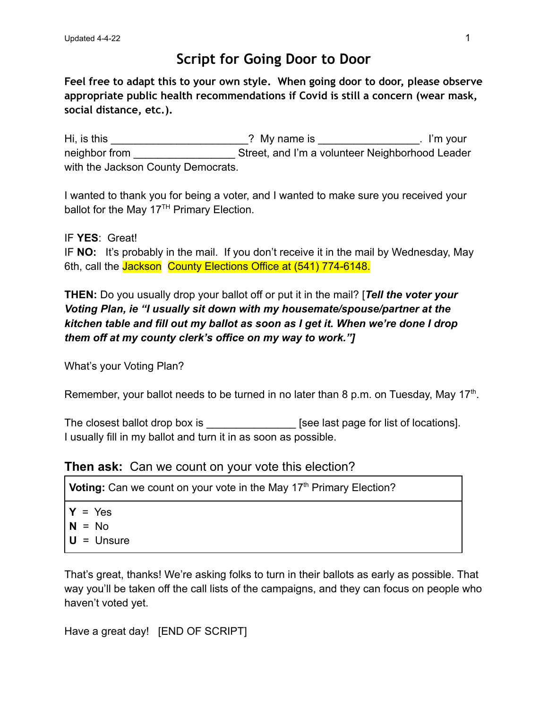## **Script for Going Door to Door**

**Feel free to adapt this to your own style. When going door to door, please observe appropriate public health recommendations if Covid is still a concern (wear mask, social distance, etc.).**

Hi, is this \_\_\_\_\_\_\_\_\_\_\_\_\_\_\_\_\_\_\_\_\_\_\_\_\_\_\_\_? My name is \_\_\_\_\_\_\_\_\_\_\_\_. I'm your neighbor from Theorem Street, and I'm a volunteer Neighborhood Leader with the Jackson County Democrats.

I wanted to thank you for being a voter, and I wanted to make sure you received your ballot for the May  $17<sup>TH</sup>$  Primary Election.

IF **YES**: Great! IF **NO:** It's probably in the mail. If you don't receive it in the mail by Wednesday, May 6th, call the Jackson County Elections Office at (541) 774-6148.

**THEN:** Do you usually drop your ballot off or put it in the mail? [*Tell the voter your Voting Plan, ie "I usually sit down with my housemate/spouse/partner at the kitchen table and fill out my ballot as soon as I get it. When we're done I drop them off at my county clerk's office on my way to work."]*

What's your Voting Plan?

Remember, your ballot needs to be turned in no later than 8 p.m. on Tuesday, May 17<sup>th</sup>.

The closest ballot drop box is **Example 2** [see last page for list of locations]. I usually fill in my ballot and turn it in as soon as possible.

#### **Then ask:** Can we count on your vote this election?

**Voting:** Can we count on your vote in the May 17<sup>th</sup> Primary Election?

- $Y = Yes$
- **N** = No
- **U** = Unsure

That's great, thanks! We're asking folks to turn in their ballots as early as possible. That way you'll be taken off the call lists of the campaigns, and they can focus on people who haven't voted yet.

Have a great day! [END OF SCRIPT]